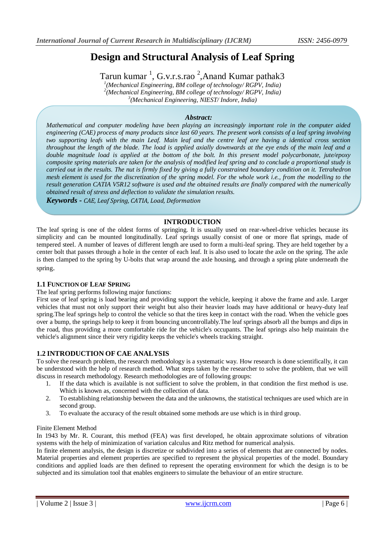# **Design and Structural Analysis of Leaf Spring**

Tarun kumar <sup>1</sup>, G.v.r.s.rao <sup>2</sup>,Anand Kumar pathak3 *(Mechanical Engineering, BM college of technology/ RGPV, India) (Mechanical Engineering, BM college of technology/ RGPV, India) (Mechanical Engineering, NIEST/ Indore, India)*

## *Abstract:*

*Mathematical and computer modeling have been playing an increasingly important role in the computer aided engineering (CAE) process of many products since last 60 years. The present work consists of a leaf spring involving two supporting leafs with the main Leaf. Main leaf and the centre leaf are having a identical cross section throughout the length of the blade. The load is applied axially downwards at the eye ends of the main leaf and a double magnitude load is applied at the bottom of the bolt. In this present model polycarbonate, jute/epoxy composite spring materials are taken for the analysis of modified leaf spring and to conclude a proportional study is carried out in the results. The nut is firmly fixed by giving a fully constrained boundary condition on it. Tetrahedron mesh element is used for the discretization of the spring model. For the whole work i.e., from the modelling to the result generation CATIA V5R12 software is used and the obtained results are finally compared with the numerically obtained result of stress and deflection to validate the simulation results.* 

*Keywords - CAE, Leaf Spring, CATIA, Load, Deformation*

## **INTRODUCTION**

The leaf spring is one of the oldest forms of springing. It is usually used on rear-wheel-drive vehicles because its simplicity and can be mounted longitudinally. Leaf springs usually consist of one or more flat springs, made of tempered steel. A number of leaves of different length are used to form a multi-leaf spring. They are held together by a center bolt that passes through a hole in the center of each leaf. It is also used to locate the axle on the spring. The axle is then clamped to the spring by U-bolts that wrap around the axle housing, and through a spring plate underneath the spring.

#### **1.1 FUNCTION OF LEAF SPRING**

#### The leaf spring performs following major functions:

First use of leaf spring is load bearing and providing support the vehicle, keeping it above the frame and axle. Larger vehicles that must not only support their weight but also their heavier loads may have additional or heavy-duty leaf spring.The leaf springs help to control the vehicle so that the tires keep in contact with the road. When the vehicle goes over a bump, the springs help to keep it from bouncing uncontrollably.The leaf springs absorb all the bumps and dips in the road, thus providing a more comfortable ride for the vehicle's occupants. The leaf springs also help maintain the vehicle's alignment since their very rigidity keeps the vehicle's wheels tracking straight.

#### **1.2 INTRODUCTION OF CAE ANALYSIS**

To solve the research problem, the research methodology is a systematic way. How research is done scientifically, it can be understood with the help of research method. What steps taken by the researcher to solve the problem, that we will discuss in research methodology. Research methodologies are of following groups:

- 1. If the data which is available is not sufficient to solve the problem, in that condition the first method is use. Which is known as, concerned with the collection of data.
- 2. To establishing relationship between the data and the unknowns, the statistical techniques are used which are in second group.
- 3. To evaluate the accuracy of the result obtained some methods are use which is in third group.

#### Finite Element Method

In 1943 by Mr. R. Courant, this method (FEA) was first developed, he obtain approximate solutions of vibration systems with the help of minimization of variation calculus and Ritz method for numerical analysis.

In finite element analysis, the design is discretize or subdivided into a series of elements that are connected by nodes. Material properties and element properties are specified to represent the physical properties of the model. Boundary conditions and applied loads are then defined to represent the operating environment for which the design is to be subjected and its simulation tool that enables engineers to simulate the behaviour of an entire structure.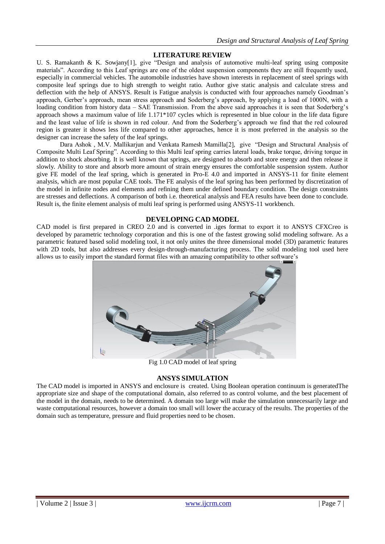# **LITERATURE REVIEW**

U. S. Ramakanth & K. Sowjany[1], give "Design and analysis of automotive multi-leaf spring using composite materials". According to this Leaf springs are one of the oldest suspension components they are still frequently used, especially in commercial vehicles. The automobile industries have shown interests in replacement of steel springs with composite leaf springs due to high strength to weight ratio. Author give static analysis and calculate stress and deflection with the help of ANSYS. Result is Fatigue analysis is conducted with four approaches namely Goodman's approach, Gerber's approach, mean stress approach and Soderberg's approach, by applying a load of 1000N, with a loading condition from history data – SAE Transmission. From the above said approaches it is seen that Soderberg's approach shows a maximum value of life 1.171\*107 cycles which is represented in blue colour in the life data figure and the least value of life is shown in red colour. And from the Soderberg's approach we find that the red coloured region is greater it shows less life compared to other approaches, hence it is most preferred in the analysis so the designer can increase the safety of the leaf springs.

Dara Ashok , M.V. Mallikarjun and Venkata Ramesh Mamilla[2], give "Design and Structural Analysis of Composite Multi Leaf Spring". According to this Multi leaf spring carries lateral loads, brake torque, driving torque in addition to shock absorbing. It is well known that springs, are designed to absorb and store energy and then release it slowly. Ability to store and absorb more amount of strain energy ensures the comfortable suspension system. Author give FE model of the leaf spring, which is generated in Pro-E 4.0 and imported in ANSYS-11 for finite element analysis, which are most popular CAE tools. The FE analysis of the leaf spring has been performed by discretization of the model in infinite nodes and elements and refining them under defined boundary condition. The design constraints are stresses and deflections. A comparison of both i.e. theoretical analysis and FEA results have been done to conclude. Result is, the finite element analysis of multi leaf spring is performed using ANSYS-11 workbench.

# **DEVELOPING CAD MODEL**

CAD model is first prepared in CREO 2.0 and is converted in .iges format to export it to ANSYS CFXCreo is developed by parametric technology corporation and this is one of the fastest growing solid modeling software. As a parametric featured based solid modeling tool, it not only unites the three dimensional model (3D) parametric features with 2D tools, but also addresses every design-through-manufacturing process. The solid modeling tool used here allows us to easily import the standard format files with an amazing compatibility to other software's



Fig 1.0 CAD model of leaf spring

# **ANSYS SIMULATION**

The CAD model is imported in ANSYS and enclosure is created. Using Boolean operation continuum is generatedThe appropriate size and shape of the computational domain, also referred to as control volume, and the best placement of the model in the domain, needs to be determined. A domain too large will make the simulation unnecessarily large and waste computational resources, however a domain too small will lower the accuracy of the results. The properties of the domain such as temperature, pressure and fluid properties need to be chosen.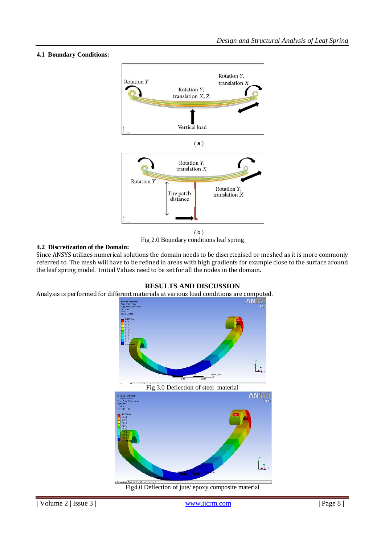# **4.1 Boundary Conditions:**



 $(b)$ Fig 2.0 Boundary conditions leaf spring

# **4.2 Discretization of the Domain:**

Since ANSYS utilizes numerical solutions the domain needs to be discretezised or meshed as it is more commonly referred to. The mesh will have to be refined in areas with high gradients for example close to the surface around the leaf spring model. Initial Values need to be set for all the nodes in the domain.

# **RESULTS AND DISCUSSION**

Analysis is performed for different materials at various load conditions are computed.



Fig 3.0 Deflection of steel material



Fig4.0 Deflection of jute/ epoxy composite material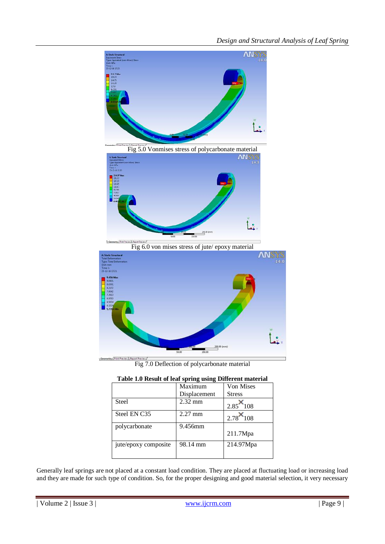

Fig 7.0 Deflection of polycarbonate material

|  | Table 1.0 Result of leaf spring using Different material |  |
|--|----------------------------------------------------------|--|
|  |                                                          |  |

|                      | Maximum      | Von Mises               |
|----------------------|--------------|-------------------------|
|                      | Displacement | <b>Stress</b>           |
| Steel                | $2.32$ mm    | $2.85$ <sup>×</sup> 108 |
| Steel EN C35         | $2.27$ mm    | $2.78$ <sup>×</sup> 108 |
| polycarbonate        | 9.456mm      |                         |
|                      |              | 211.7Mpa                |
| jute/epoxy composite | 98.14 mm     | 214.97Mpa               |
|                      |              |                         |

Generally leaf springs are not placed at a constant load condition. They are placed at fluctuating load or increasing load and they are made for such type of condition. So, for the proper designing and good material selection, it very necessary